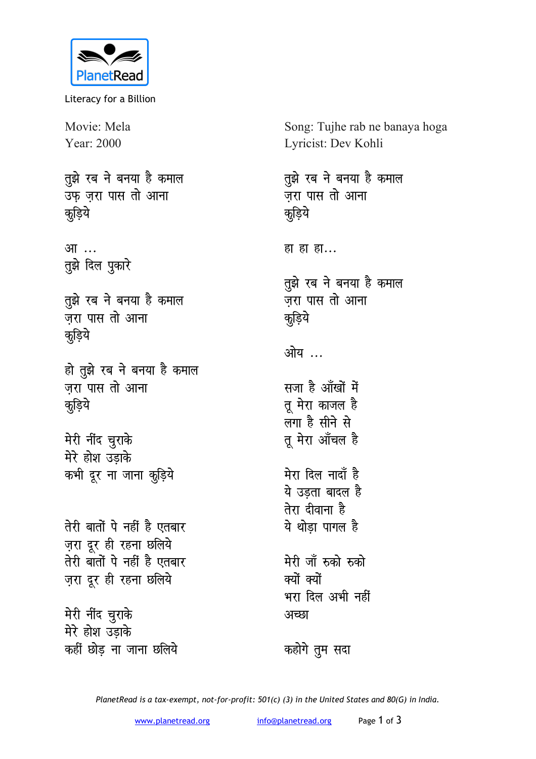

Literacy for a Billion

Movie: Mela Year: 2000

तुझे रब ने बनया है कमाल उफ जरा पास तो आना <u>क</u>डि़ये

<u>आ…</u> **तुझे** दिल पुकारे

**तूझे रब ने बनया है कमाल** जरा पास तो आना <u>क</u>डि़ये

हो तुझे रब ने बनया है कमाल जरा पास तो आना <u>क</u>ूडिये

**मेरी नींद चुराके** मेरे होश उडाके कभी दूर ना जाना क<mark>ू</mark>ड़िये

**तेरी बातों पे नहीं है एतबार** ज़रा दूर ही रहना छलिये <u>तेरी बातों पे नहीं है एतबार</u> ज़रा दूर ही रहना छलिये

**मेरी नींद चुराके** मेरे होश उड़ाके कहीं छोड ना जाना छलिये Song: Tujhe rab ne banaya hoga Lyricist: Dev Kohli

तुझे रब ने बनया है कमाल <u>जरा पास तो आना</u> <u>क</u>डिये हा हा हा... **तुझे रब ने बनया है कमाल** <u>जरा पास तो आना</u> <u>क</u>ूडिये <u>ओय ...</u> सजा है आँखों में तू मेरा काजल है लगा है सीने से तू मेरा आँचल है मेरा दिल नादाँ है ये उडता बादल है <u>तेरा दीवाना है</u> <u>ये</u> थोडा पागल है मेरी जाँ **रुको** रुको क्यों क्यों भरा दिल अभी नहीं <u>अच्छा</u>

*क*होगे तुम सदा

*PlanetRead is a tax-exempt, not-for-profit: 501(c) (3) in the United States and 80(G) in India.*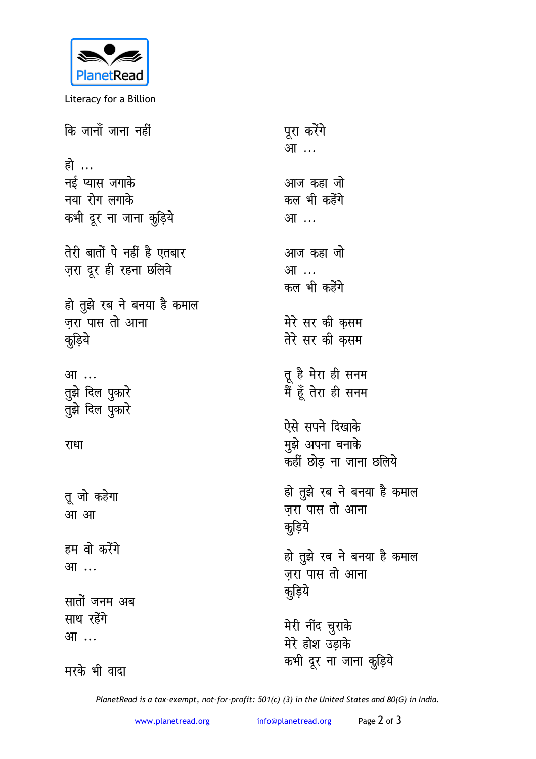

Literacy for a Billion

| कि जानाँ जाना नहीं          | पूरा करेंगे<br>आ …         |
|-----------------------------|----------------------------|
| हो …                        |                            |
| नई प्यास जगाके              | आज कहा जो                  |
| नया रोग लगाके               | कल भी कहेंगे               |
| कभी दूर ना जाना कुड़िये     | आ …                        |
| तेरी बातों पे नहीं है एतबार | आज कहा जो                  |
| ज़रा दूर ही रहना छलिये      | आ …                        |
|                             | कल भी कहेंगे               |
| हो तुझे रब ने बनया है कमाल  |                            |
| जरा पास तो आना              | मेरे सर की कुसम            |
| कुड़िये                     | तेरे सर की कुसम            |
|                             |                            |
| आ …                         | तू है मेरा ही सनम          |
| तुझे दिल पुकारे             | मैं हूँ तेरा ही सनम        |
| तुझे दिल पुकारे             |                            |
|                             | ऐसे सपने दिखाके            |
| राधा                        | मुझे अपना बनाके            |
|                             | कहीं छोड़ ना जाना छलिये    |
|                             | हो तुझे रब ने बनया है कमाल |
| तू जो कहेगा                 | ज़रा पास तो आना            |
| आ आ                         | कुड़िये                    |
| हम वो करेंगे                |                            |
| आ …                         | हो तुझे रब ने बनया है कमाल |
|                             | ज़रा पास तो आना            |
| सातों जनम अब                | कूड़िये                    |
| साथ रहेंगे                  |                            |
| आ …                         | मेरी नींद चुराके           |
|                             | मेरे होश उड़ाके            |
| मरके भी वादा                | कभी दूर ना जाना कुड़िये    |

PlanetRead is a tax-exempt, not-for-profit: 501(c) (3) in the United States and 80(G) in India.